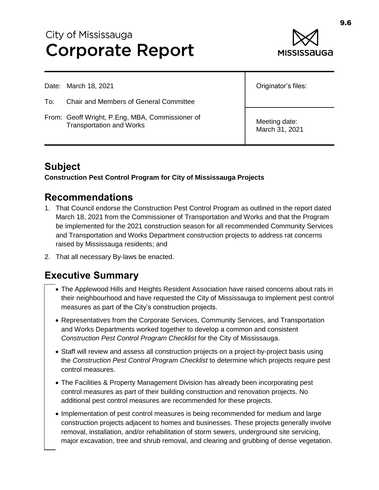# City of Mississauga **Corporate Report**



Date: March 18, 2021

- To: Chair and Members of General Committee
- From: Geoff Wright, P.Eng, MBA, Commissioner of Transportation and Works

Originator's files:

Meeting date: March 31, 2021

# **Subject**

**Construction Pest Control Program for City of Mississauga Projects**

### **Recommendations**

- 1. That Council endorse the Construction Pest Control Program as outlined in the report dated March 18, 2021 from the Commissioner of Transportation and Works and that the Program be implemented for the 2021 construction season for all recommended Community Services and Transportation and Works Department construction projects to address rat concerns raised by Mississauga residents; and
- 2. That all necessary By-laws be enacted.

# **Executive Summary**

- The Applewood Hills and Heights Resident Association have raised concerns about rats in their neighbourhood and have requested the City of Mississauga to implement pest control measures as part of the City's construction projects.
- Representatives from the Corporate Services, Community Services, and Transportation and Works Departments worked together to develop a common and consistent *Construction Pest Control Program Checklist* for the City of Mississauga.
- Staff will review and assess all construction projects on a project-by-project basis using the *Construction Pest Control Program Checklist* to determine which projects require pest control measures.
- The Facilities & Property Management Division has already been incorporating pest control measures as part of their building construction and renovation projects. No additional pest control measures are recommended for these projects.
- Implementation of pest control measures is being recommended for medium and large construction projects adjacent to homes and businesses. These projects generally involve removal, installation, and/or rehabilitation of storm sewers, underground site servicing, major excavation, tree and shrub removal, and clearing and grubbing of dense vegetation.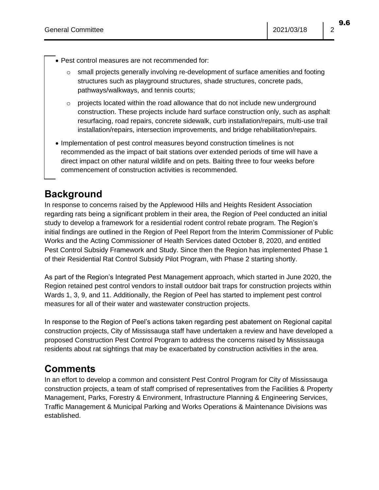- Pest control measures are not recommended for:
	- $\circ$  small projects generally involving re-development of surface amenities and footing structures such as playground structures, shade structures, concrete pads, pathways/walkways, and tennis courts;
	- $\circ$  projects located within the road allowance that do not include new underground construction. These projects include hard surface construction only, such as asphalt resurfacing, road repairs, concrete sidewalk, curb installation/repairs, multi-use trail installation/repairs, intersection improvements, and bridge rehabilitation/repairs.
- Implementation of pest control measures beyond construction timelines is not recommended as the impact of bait stations over extended periods of time will have a direct impact on other natural wildlife and on pets. Baiting three to four weeks before commencement of construction activities is recommended.

# **Background**

In response to concerns raised by the Applewood Hills and Heights Resident Association regarding rats being a significant problem in their area, the Region of Peel conducted an initial study to develop a framework for a residential rodent control rebate program. The Region's initial findings are outlined in the Region of Peel Report from the Interim Commissioner of Public Works and the Acting Commissioner of Health Services dated October 8, 2020, and entitled Pest Control Subsidy Framework and Study. Since then the Region has implemented Phase 1 of their Residential Rat Control Subsidy Pilot Program, with Phase 2 starting shortly.

As part of the Region's Integrated Pest Management approach, which started in June 2020, the Region retained pest control vendors to install outdoor bait traps for construction projects within Wards 1, 3, 9, and 11. Additionally, the Region of Peel has started to implement pest control measures for all of their water and wastewater construction projects.

In response to the Region of Peel's actions taken regarding pest abatement on Regional capital construction projects, City of Mississauga staff have undertaken a review and have developed a proposed Construction Pest Control Program to address the concerns raised by Mississauga residents about rat sightings that may be exacerbated by construction activities in the area.

### **Comments**

In an effort to develop a common and consistent Pest Control Program for City of Mississauga construction projects, a team of staff comprised of representatives from the Facilities & Property Management, Parks, Forestry & Environment, Infrastructure Planning & Engineering Services, Traffic Management & Municipal Parking and Works Operations & Maintenance Divisions was established.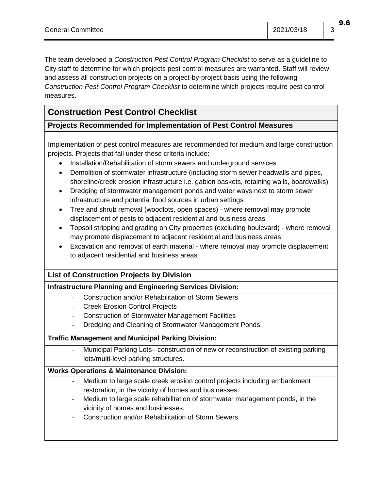The team developed a *Construction Pest Control Program Checklist* to serve as a guideline to City staff to determine for which projects pest control measures are warranted. Staff will review and assess all construction projects on a project-by-project basis using the following *Construction Pest Control Program Checklist* to determine which projects require pest control measures.

### **Construction Pest Control Checklist**

### **Projects Recommended for Implementation of Pest Control Measures**

Implementation of pest control measures are recommended for medium and large construction projects. Projects that fall under these criteria include:

- Installation/Rehabilitation of storm sewers and underground services
- Demolition of stormwater infrastructure (including storm sewer headwalls and pipes, shoreline/creek erosion infrastructure i.e. gabion baskets, retaining walls, boardwalks)
- Dredging of stormwater management ponds and water ways next to storm sewer infrastructure and potential food sources in urban settings
- Tree and shrub removal (woodlots, open spaces) where removal may promote displacement of pests to adjacent residential and business areas
- Topsoil stripping and grading on City properties (excluding boulevard) where removal may promote displacement to adjacent residential and business areas
- Excavation and removal of earth material where removal may promote displacement to adjacent residential and business areas

### **List of Construction Projects by Division**

### **Infrastructure Planning and Engineering Services Division:**

- Construction and/or Rehabilitation of Storm Sewers
- **Creek Erosion Control Projects**
- Construction of Stormwater Management Facilities
- Dredging and Cleaning of Stormwater Management Ponds

#### **Traffic Management and Municipal Parking Division:**

- Municipal Parking Lots– construction of new or reconstruction of existing parking lots/multi-level parking structures.

#### **Works Operations & Maintenance Division:**

- Medium to large scale creek erosion control projects including embankment restoration, in the vicinity of homes and businesses.
- Medium to large scale rehabilitation of stormwater management ponds, in the vicinity of homes and businesses.
- Construction and/or Rehabilitation of Storm Sewers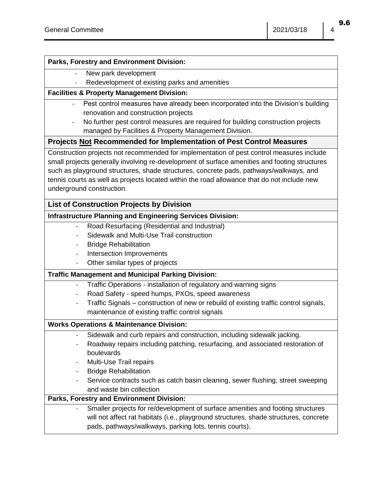#### **Parks, Forestry and Environment Division:**

- New park development
	- Redevelopment of existing parks and amenities

#### **Facilities & Property Management Division:**

- Pest control measures have already been incorporated into the Division's building renovation and construction projects
- No further pest control measures are required for building construction projects managed by Facilities & Property Management Division.

#### **Projects Not Recommended for Implementation of Pest Control Measures**

Construction projects not recommended for implementation of pest control measures include small projects generally involving re-development of surface amenities and footing structures such as playground structures, shade structures, concrete pads, pathways/walkways, and tennis courts as well as projects located within the road allowance that do not include new underground construction.

#### **List of Construction Projects by Division**

#### **Infrastructure Planning and Engineering Services Division:**

- Road Resurfacing (Residential and Industrial)
- Sidewalk and Multi-Use Trail construction
- **Bridge Rehabilitation**
- Intersection Improvements
- Other similar types of projects

#### **Traffic Management and Municipal Parking Division:**

- Traffic Operations installation of regulatory and warning signs
- Road Safety speed humps, PXOs, speed awareness
- Traffic Signals construction of new or rebuild of existing traffic control signals, maintenance of existing traffic control signals

#### **Works Operations & Maintenance Division:**

- Sidewalk and curb repairs and construction, including sidewalk jacking.
- Roadway repairs including patching, resurfacing, and associated restoration of boulevards
- Multi-Use Trail repairs
- **Bridge Rehabilitation**
- Service contracts such as catch basin cleaning, sewer flushing, street sweeping and waste bin collection

#### **Parks, Forestry and Environment Division:**

Smaller projects for re/development of surface amenities and footing structures will not affect rat habitats (i.e., playground structures, shade structures, concrete pads, pathways/walkways, parking lots, tennis courts).

9.6